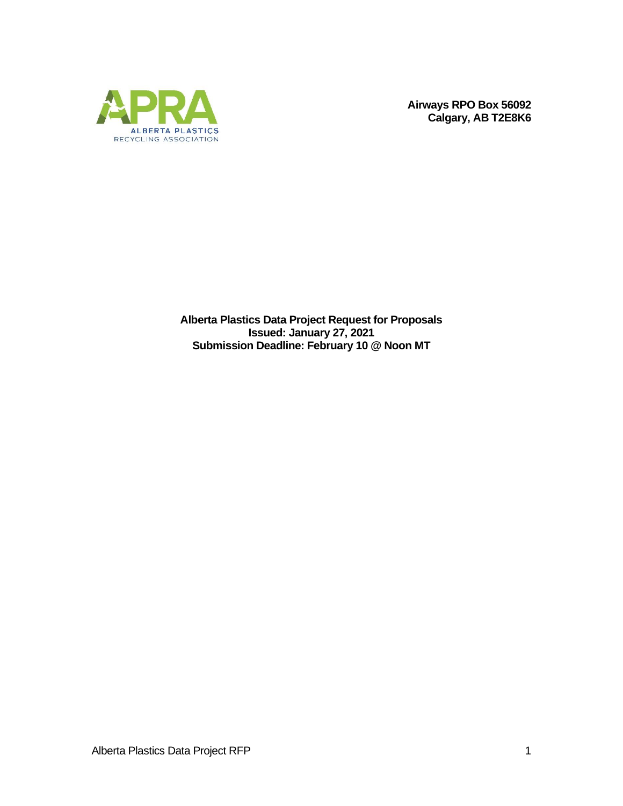

**Airways RPO Box 56092 Calgary, AB T2E8K6**

**Alberta Plastics Data Project Request for Proposals Issued: January 27, 2021 Submission Deadline: February 10 @ Noon MT**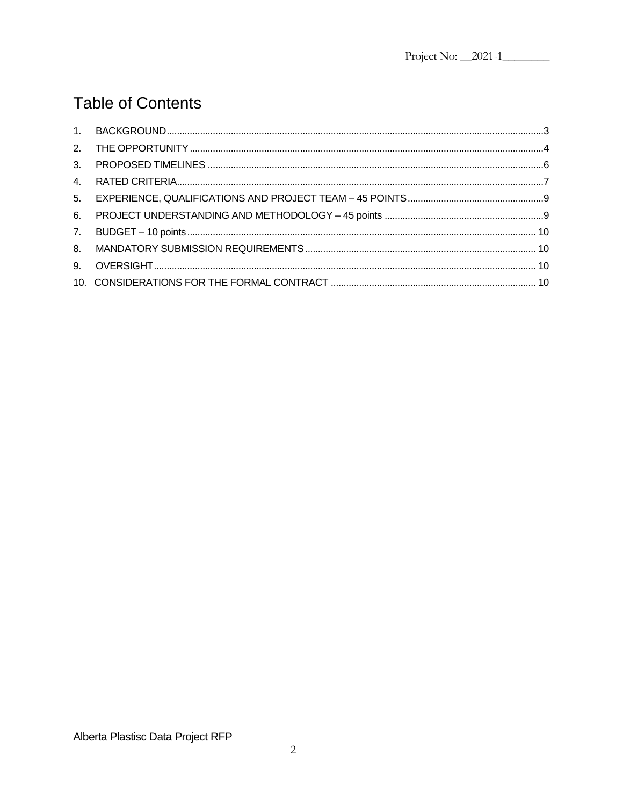# **Table of Contents**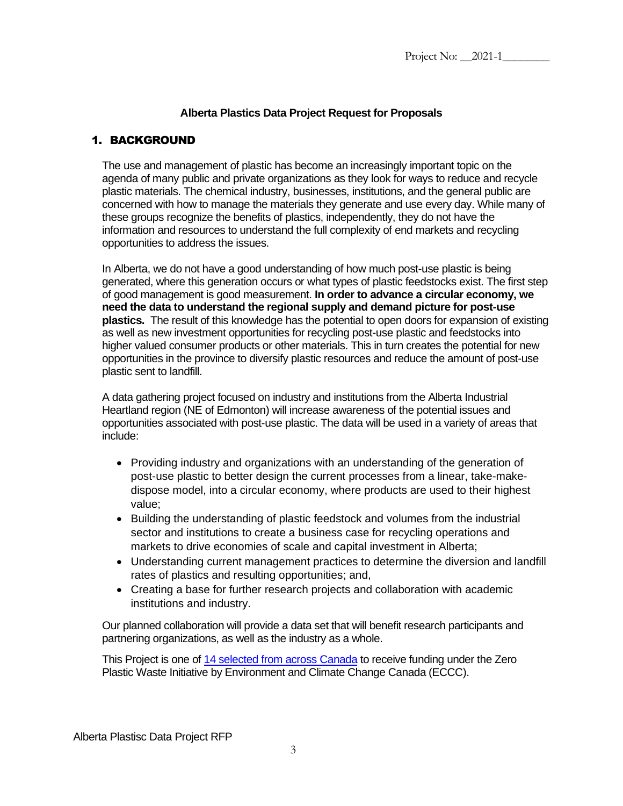## **Alberta Plastics Data Project Request for Proposals**

## <span id="page-2-0"></span>1. BACKGROUND

The use and management of plastic has become an increasingly important topic on the agenda of many public and private organizations as they look for ways to reduce and recycle plastic materials. The chemical industry, businesses, institutions, and the general public are concerned with how to manage the materials they generate and use every day. While many of these groups recognize the benefits of plastics, independently, they do not have the information and resources to understand the full complexity of end markets and recycling opportunities to address the issues.

In Alberta, we do not have a good understanding of how much post-use plastic is being generated, where this generation occurs or what types of plastic feedstocks exist. The first step of good management is good measurement. **In order to advance a circular economy, we need the data to understand the regional supply and demand picture for post-use plastics.** The result of this knowledge has the potential to open doors for expansion of existing as well as new investment opportunities for recycling post-use plastic and feedstocks into higher valued consumer products or other materials. This in turn creates the potential for new opportunities in the province to diversify plastic resources and reduce the amount of post-use plastic sent to landfill.

A data gathering project focused on industry and institutions from the Alberta Industrial Heartland region (NE of Edmonton) will increase awareness of the potential issues and opportunities associated with post-use plastic. The data will be used in a variety of areas that include:

- Providing industry and organizations with an understanding of the generation of post-use plastic to better design the current processes from a linear, take-makedispose model, into a circular economy, where products are used to their highest value;
- Building the understanding of plastic feedstock and volumes from the industrial sector and institutions to create a business case for recycling operations and markets to drive economies of scale and capital investment in Alberta;
- Understanding current management practices to determine the diversion and landfill rates of plastics and resulting opportunities; and,
- Creating a base for further research projects and collaboration with academic institutions and industry.

Our planned collaboration will provide a data set that will benefit research participants and partnering organizations, as well as the industry as a whole.

This Project is one of [14 selected from across Canada](https://www.canada.ca/en/environment-climate-change/news/2020/10/new-projects-funded-by-the-zero-plastic-waste-initiative.html) to receive funding under the Zero Plastic Waste Initiative by Environment and Climate Change Canada (ECCC).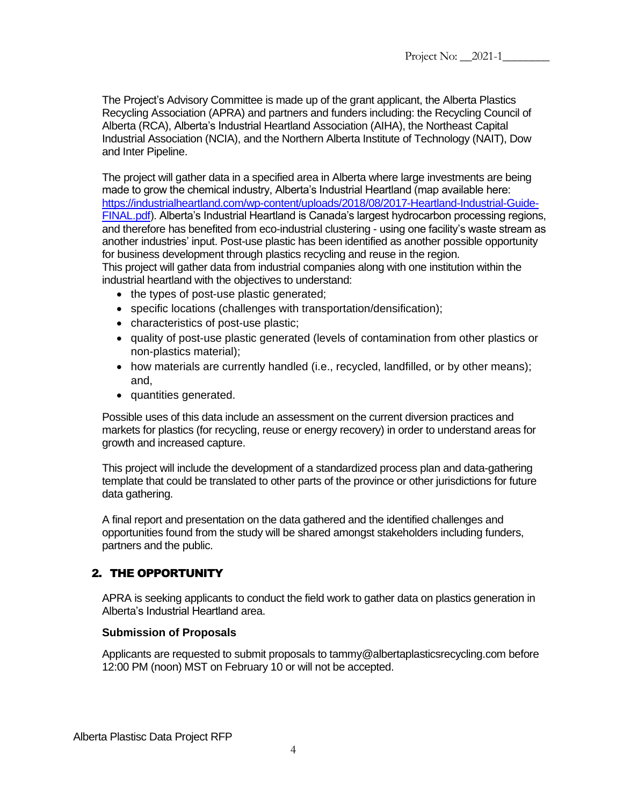The Project's Advisory Committee is made up of the grant applicant, the Alberta Plastics Recycling Association (APRA) and partners and funders including: the Recycling Council of Alberta (RCA), Alberta's Industrial Heartland Association (AIHA), the Northeast Capital Industrial Association (NCIA), and the Northern Alberta Institute of Technology (NAIT), Dow and Inter Pipeline.

The project will gather data in a specified area in Alberta where large investments are being made to grow the chemical industry, Alberta's Industrial Heartland (map available here: [https://industrialheartland.com/wp-content/uploads/2018/08/2017-Heartland-Industrial-Guide-](https://industrialheartland.com/wp-content/uploads/2018/08/2017-Heartland-Industrial-Guide-FINAL.pdf)[FINAL.pdf\)](https://industrialheartland.com/wp-content/uploads/2018/08/2017-Heartland-Industrial-Guide-FINAL.pdf). Alberta's Industrial Heartland is Canada's largest hydrocarbon processing regions, and therefore has benefited from eco-industrial clustering - using one facility's waste stream as another industries' input. Post-use plastic has been identified as another possible opportunity for business development through plastics recycling and reuse in the region. This project will gather data from industrial companies along with one institution within the

industrial heartland with the objectives to understand:

- the types of post-use plastic generated;
- specific locations (challenges with transportation/densification);
- characteristics of post-use plastic;
- quality of post-use plastic generated (levels of contamination from other plastics or non-plastics material);
- how materials are currently handled (i.e., recycled, landfilled, or by other means); and,
- quantities generated.

Possible uses of this data include an assessment on the current diversion practices and markets for plastics (for recycling, reuse or energy recovery) in order to understand areas for growth and increased capture.

This project will include the development of a standardized process plan and data-gathering template that could be translated to other parts of the province or other jurisdictions for future data gathering.

A final report and presentation on the data gathered and the identified challenges and opportunities found from the study will be shared amongst stakeholders including funders, partners and the public.

#### <span id="page-3-0"></span>2. THE OPPORTUNITY

APRA is seeking applicants to conduct the field work to gather data on plastics generation in Alberta's Industrial Heartland area.

#### **Submission of Proposals**

Applicants are requested to submit proposals to tammy@albertaplasticsrecycling.com before 12:00 PM (noon) MST on February 10 or will not be accepted.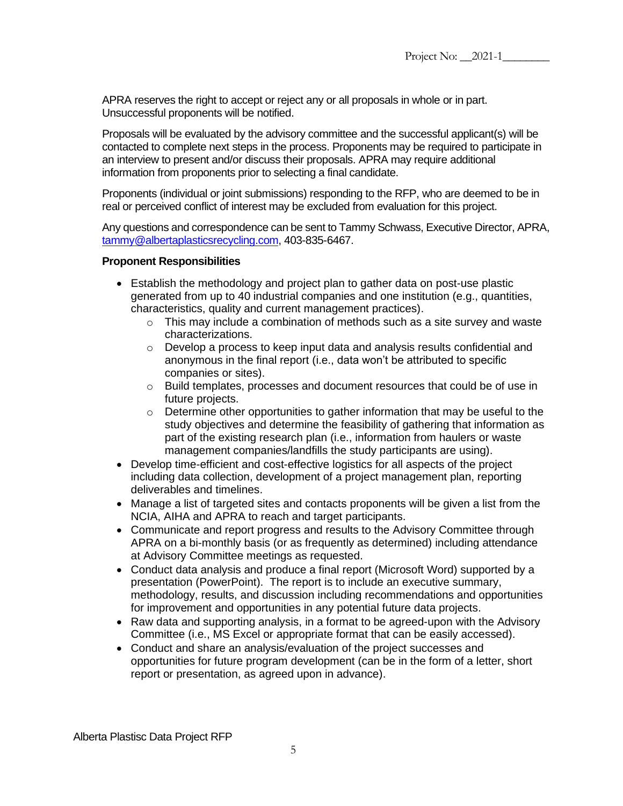APRA reserves the right to accept or reject any or all proposals in whole or in part. Unsuccessful proponents will be notified.

Proposals will be evaluated by the advisory committee and the successful applicant(s) will be contacted to complete next steps in the process. Proponents may be required to participate in an interview to present and/or discuss their proposals. APRA may require additional information from proponents prior to selecting a final candidate.

Proponents (individual or joint submissions) responding to the RFP, who are deemed to be in real or perceived conflict of interest may be excluded from evaluation for this project.

Any questions and correspondence can be sent to Tammy Schwass, Executive Director, APRA, [tammy@albertaplasticsrecycling.com,](mailto:tammy@albertaplasticsrecycling.com) 403-835-6467.

#### **Proponent Responsibilities**

- Establish the methodology and project plan to gather data on post-use plastic generated from up to 40 industrial companies and one institution (e.g., quantities, characteristics, quality and current management practices).
	- $\circ$  This may include a combination of methods such as a site survey and waste characterizations.
	- o Develop a process to keep input data and analysis results confidential and anonymous in the final report (i.e., data won't be attributed to specific companies or sites).
	- $\circ$  Build templates, processes and document resources that could be of use in future projects.
	- $\circ$  Determine other opportunities to gather information that may be useful to the study objectives and determine the feasibility of gathering that information as part of the existing research plan (i.e., information from haulers or waste management companies/landfills the study participants are using).
- Develop time-efficient and cost-effective logistics for all aspects of the project including data collection, development of a project management plan, reporting deliverables and timelines.
- Manage a list of targeted sites and contacts proponents will be given a list from the NCIA, AIHA and APRA to reach and target participants.
- Communicate and report progress and results to the Advisory Committee through APRA on a bi-monthly basis (or as frequently as determined) including attendance at Advisory Committee meetings as requested.
- Conduct data analysis and produce a final report (Microsoft Word) supported by a presentation (PowerPoint). The report is to include an executive summary, methodology, results, and discussion including recommendations and opportunities for improvement and opportunities in any potential future data projects.
- Raw data and supporting analysis, in a format to be agreed-upon with the Advisory Committee (i.e., MS Excel or appropriate format that can be easily accessed).
- Conduct and share an analysis/evaluation of the project successes and opportunities for future program development (can be in the form of a letter, short report or presentation, as agreed upon in advance).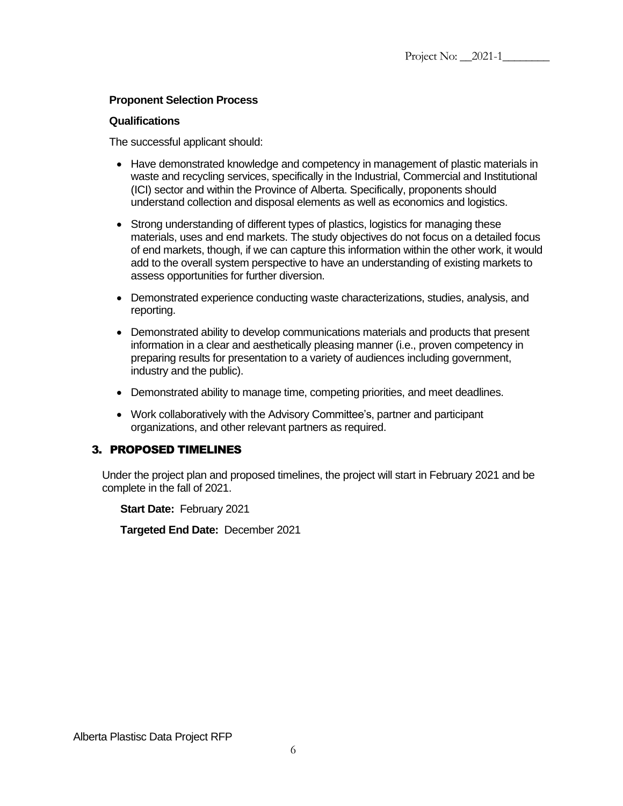#### **Proponent Selection Process**

#### **Qualifications**

The successful applicant should:

- Have demonstrated knowledge and competency in management of plastic materials in waste and recycling services, specifically in the Industrial, Commercial and Institutional (ICI) sector and within the Province of Alberta. Specifically, proponents should understand collection and disposal elements as well as economics and logistics.
- Strong understanding of different types of plastics, logistics for managing these materials, uses and end markets. The study objectives do not focus on a detailed focus of end markets, though, if we can capture this information within the other work, it would add to the overall system perspective to have an understanding of existing markets to assess opportunities for further diversion.
- Demonstrated experience conducting waste characterizations, studies, analysis, and reporting.
- Demonstrated ability to develop communications materials and products that present information in a clear and aesthetically pleasing manner (i.e., proven competency in preparing results for presentation to a variety of audiences including government, industry and the public).
- Demonstrated ability to manage time, competing priorities, and meet deadlines.
- Work collaboratively with the Advisory Committee's, partner and participant organizations, and other relevant partners as required.

#### <span id="page-5-0"></span>3. PROPOSED TIMELINES

Under the project plan and proposed timelines, the project will start in February 2021 and be complete in the fall of 2021.

**Start Date:** February 2021

**Targeted End Date:** December 2021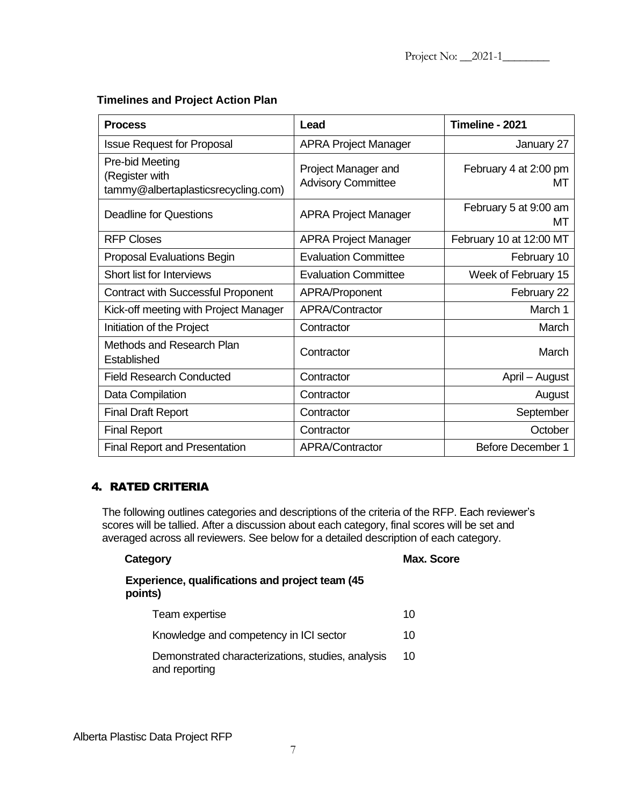#### **Timelines and Project Action Plan**

| <b>Process</b>                                                           | Lead                                             | Timeline - 2021             |
|--------------------------------------------------------------------------|--------------------------------------------------|-----------------------------|
| <b>Issue Request for Proposal</b>                                        | <b>APRA Project Manager</b>                      | January 27                  |
| Pre-bid Meeting<br>(Register with<br>tammy@albertaplasticsrecycling.com) | Project Manager and<br><b>Advisory Committee</b> | February 4 at 2:00 pm<br>мт |
| <b>Deadline for Questions</b>                                            | <b>APRA Project Manager</b>                      | February 5 at 9:00 am<br>МT |
| <b>RFP Closes</b>                                                        | <b>APRA Project Manager</b>                      | February 10 at 12:00 MT     |
| Proposal Evaluations Begin                                               | <b>Evaluation Committee</b>                      | February 10                 |
| <b>Short list for Interviews</b>                                         | <b>Evaluation Committee</b>                      | Week of February 15         |
| <b>Contract with Successful Proponent</b>                                | APRA/Proponent                                   | February 22                 |
| Kick-off meeting with Project Manager                                    | APRA/Contractor                                  | March 1                     |
| Initiation of the Project                                                | Contractor                                       | March                       |
| Methods and Research Plan<br>Established                                 | Contractor                                       | March                       |
| <b>Field Research Conducted</b>                                          | Contractor                                       | April - August              |
| Data Compilation                                                         | Contractor                                       | August                      |
| <b>Final Draft Report</b>                                                | Contractor                                       | September                   |
| <b>Final Report</b>                                                      | Contractor                                       | October                     |
| <b>Final Report and Presentation</b>                                     | APRA/Contractor                                  | <b>Before December 1</b>    |

## <span id="page-6-0"></span>4. RATED CRITERIA

The following outlines categories and descriptions of the criteria of the RFP. Each reviewer's scores will be tallied. After a discussion about each category, final scores will be set and averaged across all reviewers. See below for a detailed description of each category.

## **Category Max. Score Experience, qualifications and project team (45 points)**

# Team expertise 10 Knowledge and competency in ICI sector 10 Demonstrated characterizations, studies, analysis and reporting 10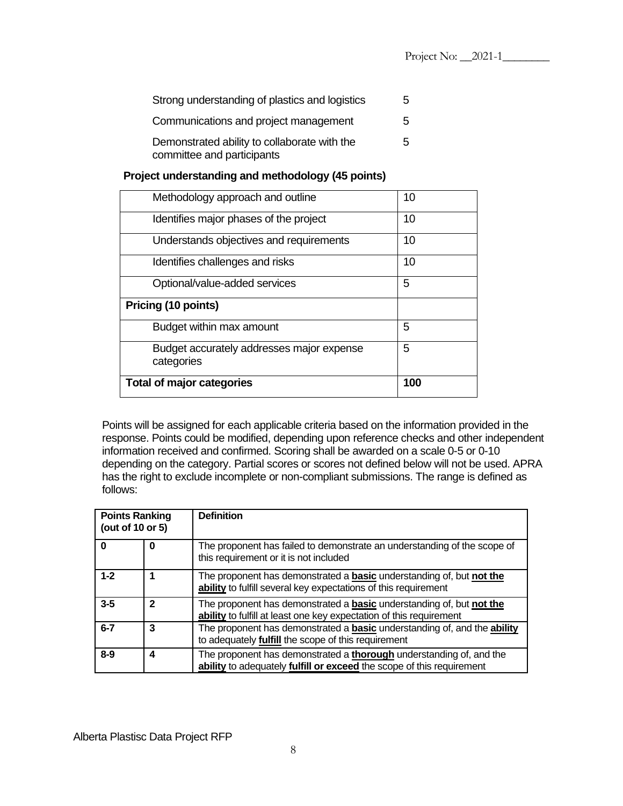| Strong understanding of plastics and logistics                             | 5 |
|----------------------------------------------------------------------------|---|
| Communications and project management                                      | 5 |
| Demonstrated ability to collaborate with the<br>committee and participants | 5 |

#### **Project understanding and methodology (45 points)**

| 5<br>Budget accurately addresses major expense<br>categories |    |
|--------------------------------------------------------------|----|
| 5<br>Budget within max amount                                |    |
| Pricing (10 points)                                          |    |
| 5<br>Optional/value-added services                           |    |
| Identifies challenges and risks                              | 10 |
| Understands objectives and requirements                      | 10 |
| Identifies major phases of the project                       | 10 |
| Methodology approach and outline                             | 10 |

Points will be assigned for each applicable criteria based on the information provided in the response. Points could be modified, depending upon reference checks and other independent information received and confirmed. Scoring shall be awarded on a scale 0-5 or 0-10 depending on the category. Partial scores or scores not defined below will not be used. APRA has the right to exclude incomplete or non-compliant submissions. The range is defined as follows:

| <b>Points Ranking</b><br>(out of 10 or 5) |   | <b>Definition</b>                                                                                                                                         |
|-------------------------------------------|---|-----------------------------------------------------------------------------------------------------------------------------------------------------------|
|                                           | 0 | The proponent has failed to demonstrate an understanding of the scope of<br>this requirement or it is not included                                        |
| $1 - 2$                                   |   | The proponent has demonstrated a <b>basic</b> understanding of, but <b>not the</b><br>ability to fulfill several key expectations of this requirement     |
| $3 - 5$                                   | 2 | The proponent has demonstrated a <b>basic</b> understanding of, but <b>not the</b><br>ability to fulfill at least one key expectation of this requirement |
| $6 - 7$                                   | 3 | The proponent has demonstrated a <b>basic</b> understanding of, and the <b>ability</b><br>to adequately <b>fulfill</b> the scope of this requirement      |
| $8-9$                                     | 4 | The proponent has demonstrated a <b>thorough</b> understanding of, and the<br>ability to adequately fulfill or exceed the scope of this requirement       |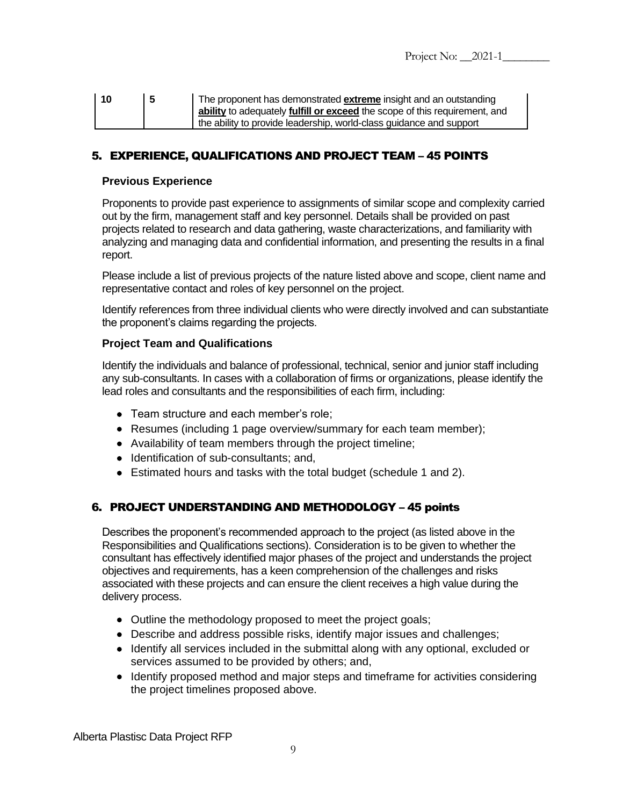| l 10 | ∣5 | The proponent has demonstrated <b>extreme</b> insight and an outstanding   |
|------|----|----------------------------------------------------------------------------|
|      |    | ability to adequately fulfill or exceed the scope of this requirement, and |
|      |    | the ability to provide leadership, world-class guidance and support        |

## <span id="page-8-0"></span>5. EXPERIENCE, QUALIFICATIONS AND PROJECT TEAM – 45 POINTS

#### **Previous Experience**

Proponents to provide past experience to assignments of similar scope and complexity carried out by the firm, management staff and key personnel. Details shall be provided on past projects related to research and data gathering, waste characterizations, and familiarity with analyzing and managing data and confidential information, and presenting the results in a final report.

Please include a list of previous projects of the nature listed above and scope, client name and representative contact and roles of key personnel on the project.

Identify references from three individual clients who were directly involved and can substantiate the proponent's claims regarding the projects.

#### **Project Team and Qualifications**

Identify the individuals and balance of professional, technical, senior and junior staff including any sub-consultants. In cases with a collaboration of firms or organizations, please identify the lead roles and consultants and the responsibilities of each firm, including:

- Team structure and each member's role;
- Resumes (including 1 page overview/summary for each team member);
- Availability of team members through the project timeline;
- Identification of sub-consultants; and,
- Estimated hours and tasks with the total budget (schedule 1 and 2).

#### <span id="page-8-1"></span>6. PROJECT UNDERSTANDING AND METHODOLOGY – 45 points

Describes the proponent's recommended approach to the project (as listed above in the Responsibilities and Qualifications sections). Consideration is to be given to whether the consultant has effectively identified major phases of the project and understands the project objectives and requirements, has a keen comprehension of the challenges and risks associated with these projects and can ensure the client receives a high value during the delivery process.

- Outline the methodology proposed to meet the project goals;
- Describe and address possible risks, identify major issues and challenges;
- Identify all services included in the submittal along with any optional, excluded or services assumed to be provided by others; and,
- Identify proposed method and major steps and timeframe for activities considering the project timelines proposed above.

Alberta Plastisc Data Project RFP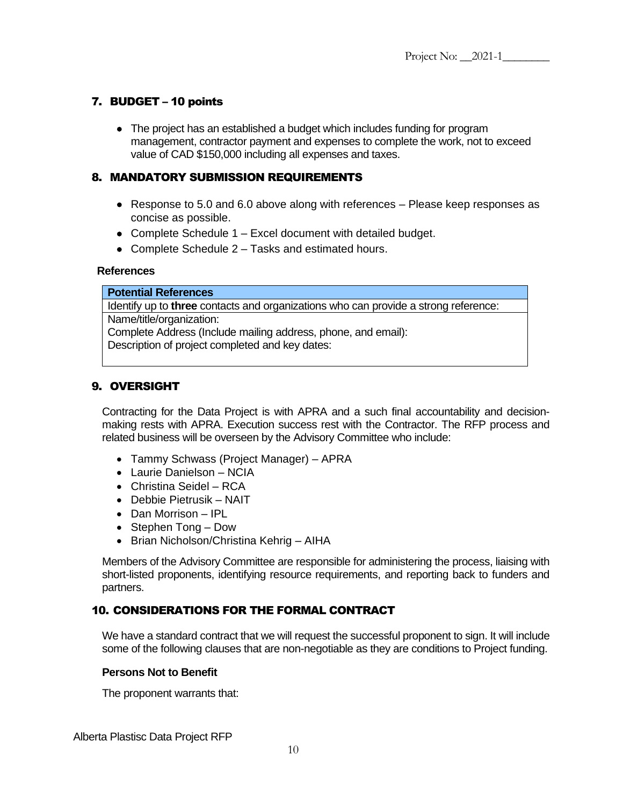## <span id="page-9-0"></span>7. BUDGET – 10 points

• The project has an established a budget which includes funding for program management, contractor payment and expenses to complete the work, not to exceed value of CAD \$150,000 including all expenses and taxes.

## <span id="page-9-1"></span>8. MANDATORY SUBMISSION REQUIREMENTS

- Response to 5.0 and 6.0 above along with references Please keep responses as concise as possible.
- Complete Schedule 1 Excel document with detailed budget.
- Complete Schedule 2 Tasks and estimated hours.

#### **References**

#### **Potential References**

Identify up to **three** contacts and organizations who can provide a strong reference: Name/title/organization: Complete Address (Include mailing address, phone, and email):

Description of project completed and key dates:

## <span id="page-9-2"></span>9. OVERSIGHT

Contracting for the Data Project is with APRA and a such final accountability and decisionmaking rests with APRA. Execution success rest with the Contractor. The RFP process and related business will be overseen by the Advisory Committee who include:

- Tammy Schwass (Project Manager) APRA
- Laurie Danielson NCIA
- Christina Seidel RCA
- Debbie Pietrusik NAIT
- Dan Morrison IPL
- Stephen Tong Dow
- Brian Nicholson/Christina Kehrig AIHA

Members of the Advisory Committee are responsible for administering the process, liaising with short-listed proponents, identifying resource requirements, and reporting back to funders and partners.

## <span id="page-9-3"></span>10. CONSIDERATIONS FOR THE FORMAL CONTRACT

We have a standard contract that we will request the successful proponent to sign. It will include some of the following clauses that are non-negotiable as they are conditions to Project funding.

#### **Persons Not to Benefit**

The proponent warrants that:

Alberta Plastisc Data Project RFP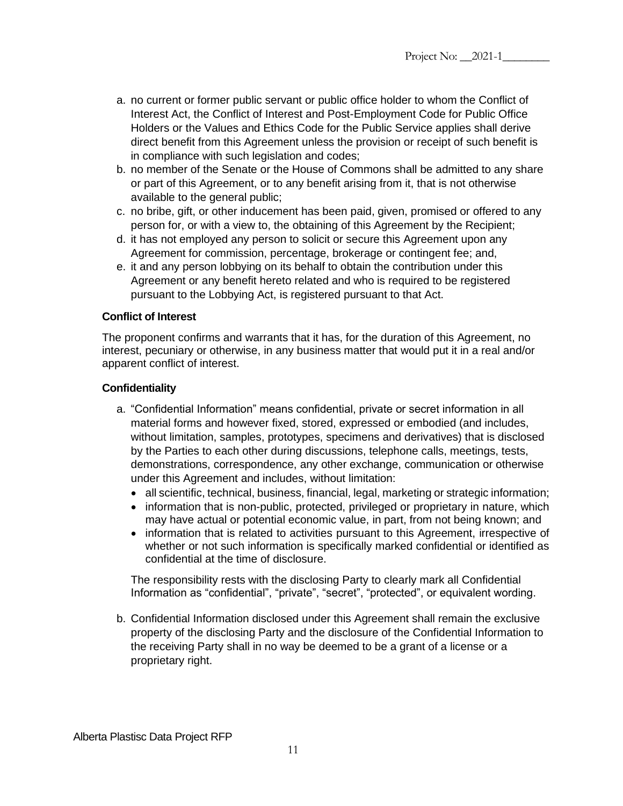- a. no current or former public servant or public office holder to whom the Conflict of Interest Act, the Conflict of Interest and Post-Employment Code for Public Office Holders or the Values and Ethics Code for the Public Service applies shall derive direct benefit from this Agreement unless the provision or receipt of such benefit is in compliance with such legislation and codes;
- b. no member of the Senate or the House of Commons shall be admitted to any share or part of this Agreement, or to any benefit arising from it, that is not otherwise available to the general public;
- c. no bribe, gift, or other inducement has been paid, given, promised or offered to any person for, or with a view to, the obtaining of this Agreement by the Recipient;
- d. it has not employed any person to solicit or secure this Agreement upon any Agreement for commission, percentage, brokerage or contingent fee; and,
- e. it and any person lobbying on its behalf to obtain the contribution under this Agreement or any benefit hereto related and who is required to be registered pursuant to the Lobbying Act, is registered pursuant to that Act.

#### **Conflict of Interest**

The proponent confirms and warrants that it has, for the duration of this Agreement, no interest, pecuniary or otherwise, in any business matter that would put it in a real and/or apparent conflict of interest.

#### **Confidentiality**

- a. "Confidential Information" means confidential, private or secret information in all material forms and however fixed, stored, expressed or embodied (and includes, without limitation, samples, prototypes, specimens and derivatives) that is disclosed by the Parties to each other during discussions, telephone calls, meetings, tests, demonstrations, correspondence, any other exchange, communication or otherwise under this Agreement and includes, without limitation:
	- all scientific, technical, business, financial, legal, marketing or strategic information;
	- information that is non-public, protected, privileged or proprietary in nature, which may have actual or potential economic value, in part, from not being known; and
	- information that is related to activities pursuant to this Agreement, irrespective of whether or not such information is specifically marked confidential or identified as confidential at the time of disclosure.

The responsibility rests with the disclosing Party to clearly mark all Confidential Information as "confidential", "private", "secret", "protected", or equivalent wording.

b. Confidential Information disclosed under this Agreement shall remain the exclusive property of the disclosing Party and the disclosure of the Confidential Information to the receiving Party shall in no way be deemed to be a grant of a license or a proprietary right.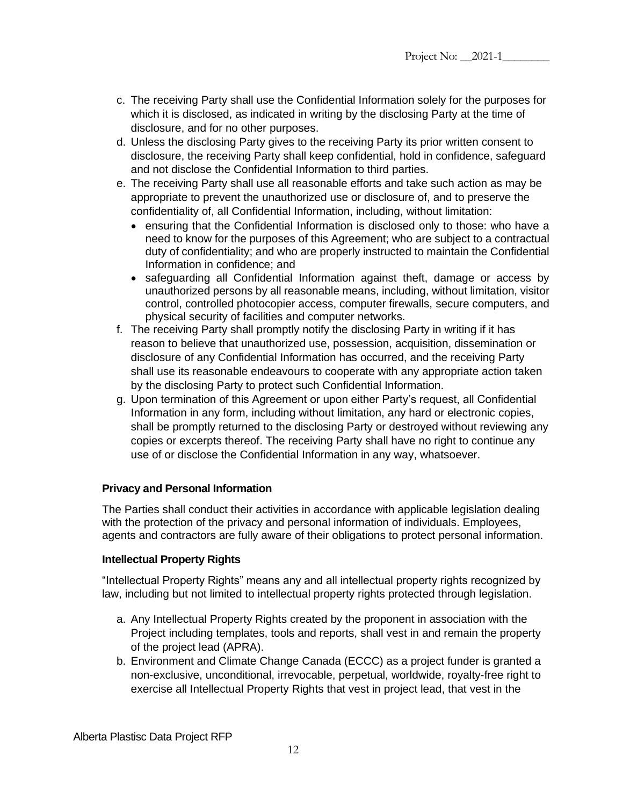- c. The receiving Party shall use the Confidential Information solely for the purposes for which it is disclosed, as indicated in writing by the disclosing Party at the time of disclosure, and for no other purposes.
- d. Unless the disclosing Party gives to the receiving Party its prior written consent to disclosure, the receiving Party shall keep confidential, hold in confidence, safeguard and not disclose the Confidential Information to third parties.
- e. The receiving Party shall use all reasonable efforts and take such action as may be appropriate to prevent the unauthorized use or disclosure of, and to preserve the confidentiality of, all Confidential Information, including, without limitation:
	- ensuring that the Confidential Information is disclosed only to those: who have a need to know for the purposes of this Agreement; who are subject to a contractual duty of confidentiality; and who are properly instructed to maintain the Confidential Information in confidence; and
	- safeguarding all Confidential Information against theft, damage or access by unauthorized persons by all reasonable means, including, without limitation, visitor control, controlled photocopier access, computer firewalls, secure computers, and physical security of facilities and computer networks.
- f. The receiving Party shall promptly notify the disclosing Party in writing if it has reason to believe that unauthorized use, possession, acquisition, dissemination or disclosure of any Confidential Information has occurred, and the receiving Party shall use its reasonable endeavours to cooperate with any appropriate action taken by the disclosing Party to protect such Confidential Information.
- g. Upon termination of this Agreement or upon either Party's request, all Confidential Information in any form, including without limitation, any hard or electronic copies, shall be promptly returned to the disclosing Party or destroyed without reviewing any copies or excerpts thereof. The receiving Party shall have no right to continue any use of or disclose the Confidential Information in any way, whatsoever.

## **Privacy and Personal Information**

The Parties shall conduct their activities in accordance with applicable legislation dealing with the protection of the privacy and personal information of individuals. Employees, agents and contractors are fully aware of their obligations to protect personal information.

#### **Intellectual Property Rights**

"Intellectual Property Rights" means any and all intellectual property rights recognized by law, including but not limited to intellectual property rights protected through legislation.

- a. Any Intellectual Property Rights created by the proponent in association with the Project including templates, tools and reports, shall vest in and remain the property of the project lead (APRA).
- b. Environment and Climate Change Canada (ECCC) as a project funder is granted a non-exclusive, unconditional, irrevocable, perpetual, worldwide, royalty-free right to exercise all Intellectual Property Rights that vest in project lead, that vest in the